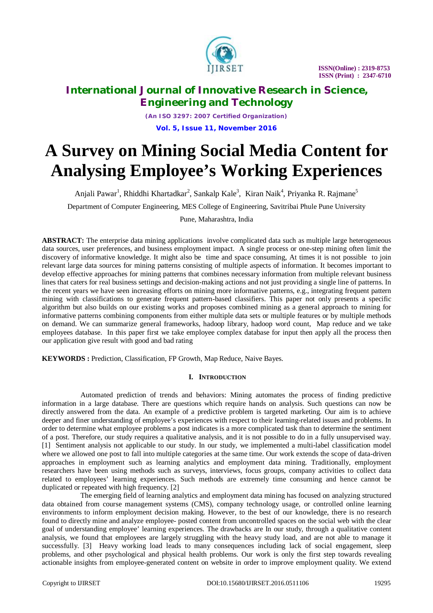

# **International Journal of Innovative Research in Science, Engineering and Technology**

*(An ISO 3297: 2007 Certified Organization)* **Vol. 5, Issue 11, November 2016**

# **A Survey on Mining Social Media Content for Analysing Employee's Working Experiences**

Anjali Pawar<sup>1</sup>, Rhiddhi Khartadkar<sup>2</sup>, Sankalp Kale<sup>3</sup>, Kiran Naik<sup>4</sup>, Priyanka R. Rajmane<sup>5</sup>

Department of Computer Engineering, MES College of Engineering, Savitribai Phule Pune University

Pune, Maharashtra, India

**ABSTRACT:** The enterprise data mining applications involve complicated data such as multiple large heterogeneous data sources, user preferences, and business employment impact. A single process or one-step mining often limit the discovery of informative knowledge. It might also be time and space consuming, At times it is not possible to join relevant large data sources for mining patterns consisting of multiple aspects of information. It becomes important to develop effective approaches for mining patterns that combines necessary information from multiple relevant business lines that caters for real business settings and decision-making actions and not just providing a single line of patterns. In the recent years we have seen increasing efforts on mining more informative patterns, e.g., integrating frequent pattern mining with classifications to generate frequent pattern-based classifiers. This paper not only presents a specific algorithm but also builds on our existing works and proposes combined mining as a general approach to mining for informative patterns combining components from either multiple data sets or multiple features or by multiple methods on demand. We can summarize general frameworks, hadoop library, hadoop word count, Map reduce and we take employees database. In this paper first we take employee complex database for input then apply all the process then our application give result with good and bad rating

**KEYWORDS :** Prediction, Classification, FP Growth, Map Reduce, Naive Bayes.

# **I. INTRODUCTION**

Automated prediction of trends and behaviors: Mining automates the process of finding predictive information in a large database. There are questions which require hands on analysis. Such questions can now be directly answered from the data. An example of a predictive problem is targeted marketing. Our aim is to achieve deeper and finer understanding of employee's experiences with respect to their learning-related issues and problems. In order to determine what employee problems a post indicates is a more complicated task than to determine the sentiment of a post. Therefore, our study requires a qualitative analysis, and it is not possible to do in a fully unsupervised way. [1] Sentiment analysis not applicable to our study. In our study, we implemented a multi-label classification model where we allowed one post to fall into multiple categories at the same time. Our work extends the scope of data-driven approaches in employment such as learning analytics and employment data mining. Traditionally, employment researchers have been using methods such as surveys, interviews, focus groups, company activities to collect data related to employees' learning experiences. Such methods are extremely time consuming and hence cannot be duplicated or repeated with high frequency. [2]

The emerging field of learning analytics and employment data mining has focused on analyzing structured data obtained from course management systems (CMS), company technology usage, or controlled online learning environments to inform employment decision making. However, to the best of our knowledge, there is no research found to directly mine and analyze employee- posted content from uncontrolled spaces on the social web with the clear goal of understanding employee' learning experiences. The drawbacks are In our study, through a qualitative content analysis, we found that employees are largely struggling with the heavy study load, and are not able to manage it successfully. [3] Heavy working load leads to many consequences including lack of social engagement, sleep problems, and other psychological and physical health problems. Our work is only the first step towards revealing actionable insights from employee-generated content on website in order to improve employment quality. We extend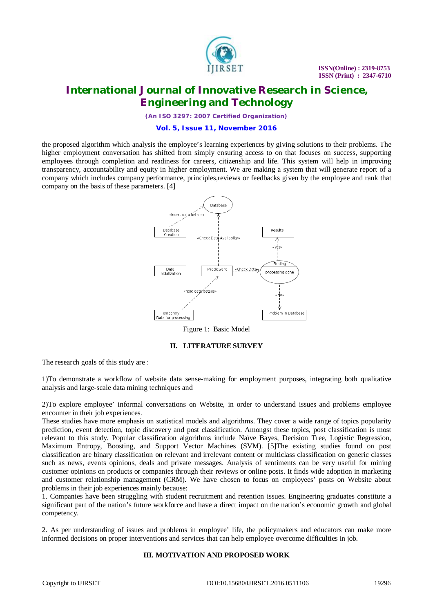

# **International Journal of Innovative Research in Science, Engineering and Technology**

*(An ISO 3297: 2007 Certified Organization)*

#### **Vol. 5, Issue 11, November 2016**

the proposed algorithm which analysis the employee's learning experiences by giving solutions to their problems. The higher employment conversation has shifted from simply ensuring access to on that focuses on success, supporting employees through completion and readiness for careers, citizenship and life. This system will help in improving transparency, accountability and equity in higher employment. We are making a system that will generate report of a company which includes company performance, principles,reviews or feedbacks given by the employee and rank that company on the basis of these parameters. [4]



Figure 1: Basic Model

## **II. LITERATURE SURVEY**

The research goals of this study are :

1)To demonstrate a workflow of website data sense-making for employment purposes, integrating both qualitative analysis and large-scale data mining techniques and

2)To explore employee' informal conversations on Website, in order to understand issues and problems employee encounter in their job experiences.

These studies have more emphasis on statistical models and algorithms. They cover a wide range of topics popularity prediction, event detection, topic discovery and post classification. Amongst these topics, post classification is most relevant to this study. Popular classification algorithms include Naïve Bayes, Decision Tree, Logistic Regression, Maximum Entropy, Boosting, and Support Vector Machines (SVM). [5]The existing studies found on post classification are binary classification on relevant and irrelevant content or multiclass classification on generic classes such as news, events opinions, deals and private messages. Analysis of sentiments can be very useful for mining customer opinions on products or companies through their reviews or online posts. It finds wide adoption in marketing and customer relationship management (CRM). We have chosen to focus on employees' posts on Website about problems in their job experiences mainly because:

1. Companies have been struggling with student recruitment and retention issues. Engineering graduates constitute a significant part of the nation's future workforce and have a direct impact on the nation's economic growth and global competency.

2. As per understanding of issues and problems in employee' life, the policymakers and educators can make more informed decisions on proper interventions and services that can help employee overcome difficulties in job.

# **III. MOTIVATION AND PROPOSED WORK**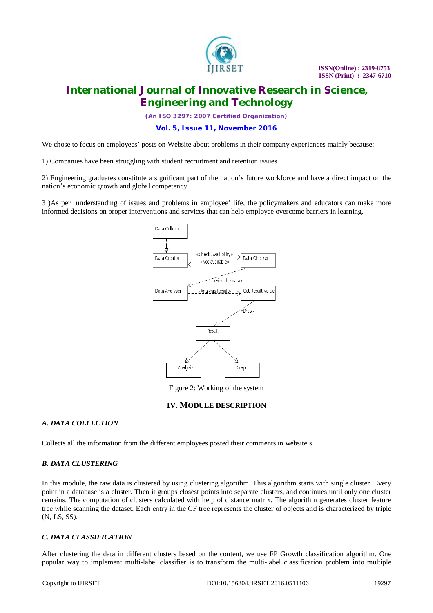

# **International Journal of Innovative Research in Science, Engineering and Technology**

*(An ISO 3297: 2007 Certified Organization)*

**Vol. 5, Issue 11, November 2016**

We chose to focus on employees' posts on Website about problems in their company experiences mainly because:

1) Companies have been struggling with student recruitment and retention issues.

2) Engineering graduates constitute a significant part of the nation's future workforce and have a direct impact on the nation's economic growth and global competency

3 )As per understanding of issues and problems in employee' life, the policymakers and educators can make more informed decisions on proper interventions and services that can help employee overcome barriers in learning.



Figure 2: Working of the system

## **IV. MODULE DESCRIPTION**

## *A. DATA COLLECTION*

Collects all the information from the different employees posted their comments in website.s

#### *B. DATA CLUSTERING*

In this module, the raw data is clustered by using clustering algorithm. This algorithm starts with single cluster. Every point in a database is a cluster. Then it groups closest points into separate clusters, and continues until only one cluster remains. The computation of clusters calculated with help of distance matrix. The algorithm generates cluster feature tree while scanning the dataset. Each entry in the CF tree represents the cluster of objects and is characterized by triple (N, LS, SS).

#### *C. DATA CLASSIFICATION*

After clustering the data in different clusters based on the content, we use FP Growth classification algorithm. One popular way to implement multi-label classifier is to transform the multi-label classification problem into multiple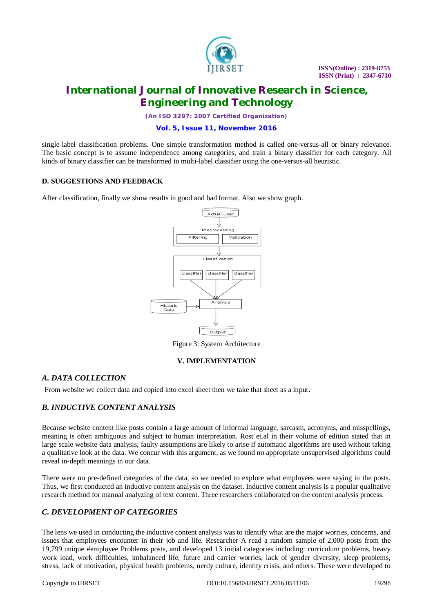

# **International Journal of Innovative Research in Science, Engineering and Technology**

*(An ISO 3297: 2007 Certified Organization)*

**Vol. 5, Issue 11, November 2016**

single-label classification problems. One simple transformation method is called one-versus-all or binary relevance. The basic concept is to assume independence among categories, and train a binary classifier for each category. All kinds of binary classifier can be transformed to multi-label classifier using the one-versus-all heuristic.

## **D. SUGGESTIONS AND FEEDBACK**

After classification, finally we show results in good and bad format. Also we show graph.



Figure 3: System Architecture

#### **V. IMPLEMENTATION**

## *A. DATA COLLECTION*

From website we collect data and copied into excel sheet then we take that sheet as a input.

# *B. INDUCTIVE CONTENT ANALYSIS*

Because website content like posts contain a large amount of informal language, sarcasm, acronyms, and misspellings, meaning is often ambiguous and subject to human interpretation. Rost et.al in their volume of edition stated that in large scale website data analysis, faulty assumptions are likely to arise if automatic algorithms are used without taking a qualitative look at the data. We concur with this argument, as we found no appropriate unsupervised algorithms could reveal in-depth meanings in our data.

There were no pre-defined categories of the data, so we needed to explore what employees were saying in the posts. Thus, we first conducted an inductive content analysis on the dataset. Inductive content analysis is a popular qualitative research method for manual analyzing of text content. Three researchers collaborated on the content analysis process.

# *C. DEVELOPMENT OF CATEGORIES*

The lens we used in conducting the inductive content analysis was to identify what are the major worries, concerns, and issues that employees encounter in their job and life. Researcher A read a random sample of 2,000 posts from the 19,799 unique #employee Problems posts, and developed 13 initial categories including: curriculum problems, heavy work load, work difficulties, imbalanced life, future and carrier worries, lack of gender diversity, sleep problems, stress, lack of motivation, physical health problems, nerdy culture, identity crisis, and others. These were developed to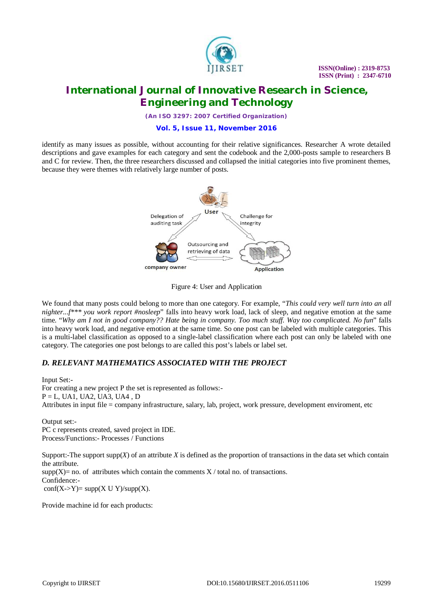

# **International Journal of Innovative Research in Science, Engineering and Technology**

*(An ISO 3297: 2007 Certified Organization)*

#### **Vol. 5, Issue 11, November 2016**

identify as many issues as possible, without accounting for their relative significances. Researcher A wrote detailed descriptions and gave examples for each category and sent the codebook and the 2,000-posts sample to researchers B and C for review. Then, the three researchers discussed and collapsed the initial categories into five prominent themes, because they were themes with relatively large number of posts.



## Figure 4: User and Application

We found that many posts could belong to more than one category. For example, "*This could very well turn into an all nighter...f\*\*\* you work report #nosleep*" falls into heavy work load, lack of sleep, and negative emotion at the same time. "*Why am I not in good company?? Hate being in company. Too much stuff. Way too complicated. No fun*" falls into heavy work load, and negative emotion at the same time. So one post can be labeled with multiple categories. This is a multi-label classification as opposed to a single-label classification where each post can only be labeled with one category. The categories one post belongs to are called this post's labels or label set.

# *D. RELEVANT MATHEMATICS ASSOCIATED WITH THE PROJECT*

Input Set:- For creating a new project P the set is represented as follows:-  $P = L$ , UA1, UA2, UA3, UA4, D Attributes in input file = company infrastructure, salary, lab, project, work pressure, development enviroment, etc

Output set:- PC c represents created, saved project in IDE. Process/Functions:- Processes / Functions

Support:-The support supp(*X*) of an attribute *X* is defined as the proportion of transactions in the data set which contain the attribute.  $supp(X)$  = no. of attributes which contain the comments  $X / \text{total}$  no. of transactions. Confidence:-

 $conf(X->Y)= supp(X \cup Y)/supp(X).$ 

Provide machine id for each products: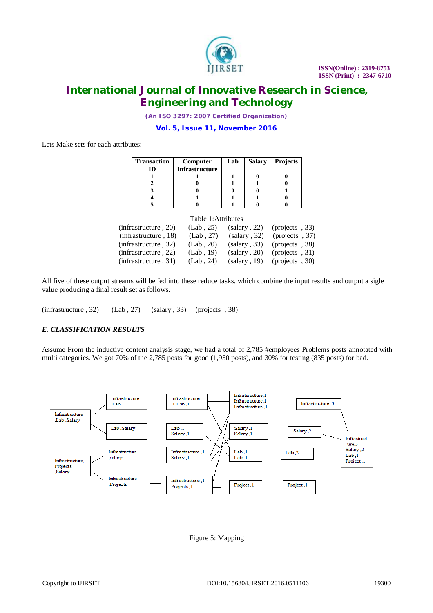

# **International Journal of Innovative Research in Science, Engineering and Technology**

*(An ISO 3297: 2007 Certified Organization)*

**Vol. 5, Issue 11, November 2016**

Lets Make sets for each attributes:

| <b>Transaction</b> | Computer              | Lab | <b>Salary</b> | <b>Projects</b> |
|--------------------|-----------------------|-----|---------------|-----------------|
|                    | <b>Infrastructure</b> |     |               |                 |
|                    |                       |     |               |                 |
|                    |                       |     |               |                 |
|                    |                       |     |               |                 |
|                    |                       |     |               |                 |
|                    |                       |     |               |                 |

| Table 1: Attributes  |           |              |                           |  |  |
|----------------------|-----------|--------------|---------------------------|--|--|
| (infrastructure, 20) | (Lab, 25) | (salary, 22) | $(projects, 33)$          |  |  |
| (infrastructure, 18) | (Lab, 27) | (salary, 32) | (projects, 37)            |  |  |
| (infrastructure, 32) | (Lab, 20) | (salary, 33) | (projects, 38)            |  |  |
| (infrastructure, 22) | (Lab, 19) | (salary, 20) | $1(\text{projects} , 31)$ |  |  |
| (infrastructure, 31) | (Lab, 24) | (salary, 19) | $1(projects, 30)$         |  |  |

All five of these output streams will be fed into these reduce tasks, which combine the input results and output a sigle value producing a final result set as follows.

 $(infrastructure, 32)$   $(Lab, 27)$   $(salary, 33)$   $(projects, 38)$ 

# *E. CLASSIFICATION RESULTS*

Assume From the inductive content analysis stage, we had a total of 2,785 #employees Problems posts annotated with multi categories. We got 70% of the 2,785 posts for good (1,950 posts), and 30% for testing (835 posts) for bad.



Figure 5: Mapping